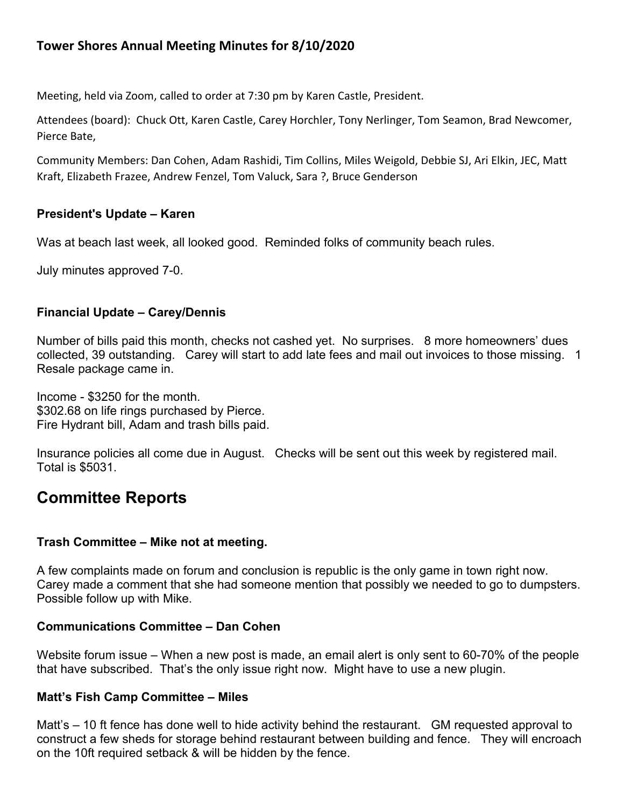# **Tower Shores Annual Meeting Minutes for 8/10/2020**

Meeting, held via Zoom, called to order at 7:30 pm by Karen Castle, President.

Attendees (board): Chuck Ott, Karen Castle, Carey Horchler, Tony Nerlinger, Tom Seamon, Brad Newcomer, Pierce Bate,

Community Members: Dan Cohen, Adam Rashidi, Tim Collins, Miles Weigold, Debbie SJ, Ari Elkin, JEC, Matt Kraft, Elizabeth Frazee, Andrew Fenzel, Tom Valuck, Sara ?, Bruce Genderson

# **President's Update – Karen**

Was at beach last week, all looked good. Reminded folks of community beach rules.

July minutes approved 7-0.

# **Financial Update – Carey/Dennis**

Number of bills paid this month, checks not cashed yet. No surprises. 8 more homeowners' dues collected, 39 outstanding. Carey will start to add late fees and mail out invoices to those missing. 1 Resale package came in.

Income - \$3250 for the month. \$302.68 on life rings purchased by Pierce. Fire Hydrant bill, Adam and trash bills paid.

Insurance policies all come due in August. Checks will be sent out this week by registered mail. Total is \$5031.

# **Committee Reports**

### **Trash Committee – Mike not at meeting.**

A few complaints made on forum and conclusion is republic is the only game in town right now. Carey made a comment that she had someone mention that possibly we needed to go to dumpsters. Possible follow up with Mike.

### **Communications Committee – Dan Cohen**

Website forum issue – When a new post is made, an email alert is only sent to 60-70% of the people that have subscribed. That's the only issue right now. Might have to use a new plugin.

### **Matt's Fish Camp Committee – Miles**

Matt's – 10 ft fence has done well to hide activity behind the restaurant. GM requested approval to construct a few sheds for storage behind restaurant between building and fence. They will encroach on the 10ft required setback & will be hidden by the fence.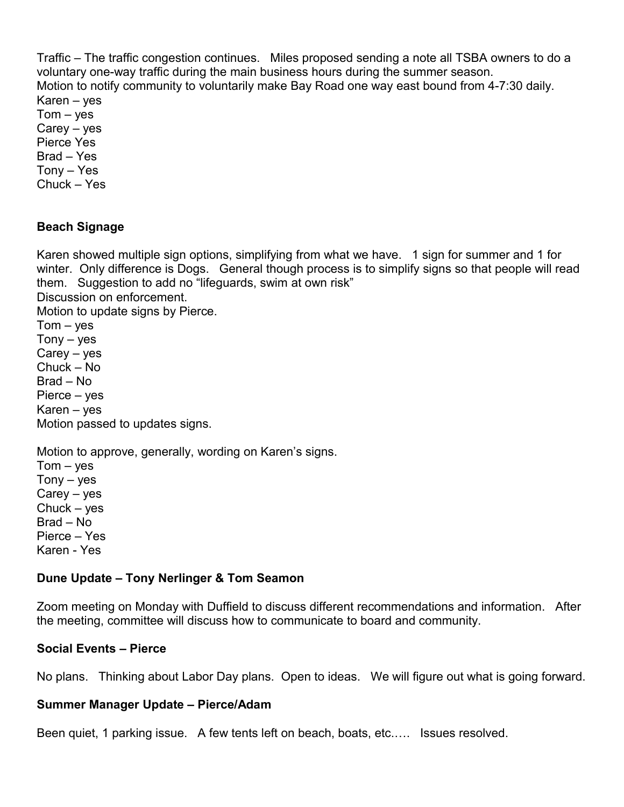Traffic – The traffic congestion continues. Miles proposed sending a note all TSBA owners to do a voluntary one-way traffic during the main business hours during the summer season. Motion to notify community to voluntarily make Bay Road one way east bound from 4-7:30 daily. Karen – yes  $Tom - yes$ Carey – yes Pierce Yes Brad – Yes Tony – Yes Chuck – Yes

# **Beach Signage**

Karen showed multiple sign options, simplifying from what we have. 1 sign for summer and 1 for winter. Only difference is Dogs. General though process is to simplify signs so that people will read them. Suggestion to add no "lifeguards, swim at own risk" Discussion on enforcement. Motion to update signs by Pierce.  $Tom - yes$  $Tony - yes$  $Carey - yes$ Chuck – No Brad – No Pierce – yes Karen – yes Motion passed to updates signs.

Motion to approve, generally, wording on Karen's signs.  $Tom - yes$ 

 $Tony - yes$ Carey – yes Chuck – yes Brad – No Pierce – Yes Karen - Yes

### **Dune Update – Tony Nerlinger & Tom Seamon**

Zoom meeting on Monday with Duffield to discuss different recommendations and information. After the meeting, committee will discuss how to communicate to board and community.

### **Social Events – Pierce**

No plans. Thinking about Labor Day plans. Open to ideas. We will figure out what is going forward.

### **Summer Manager Update – Pierce/Adam**

Been quiet, 1 parking issue. A few tents left on beach, boats, etc.…. Issues resolved.